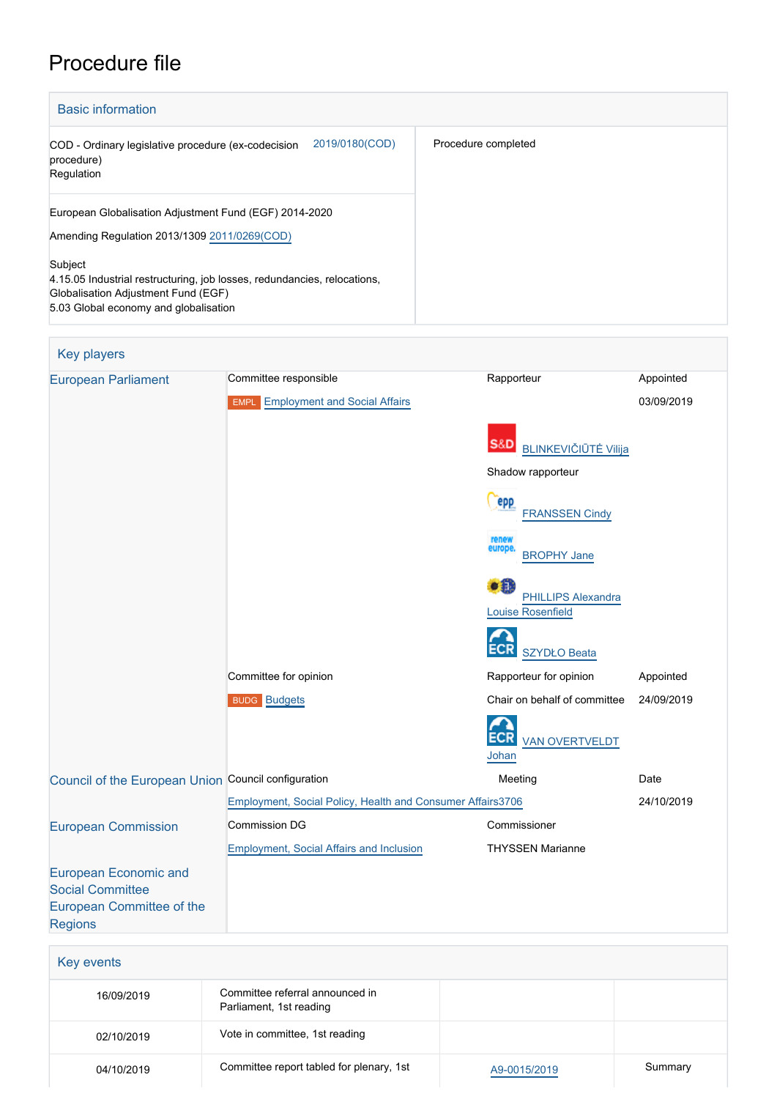# Procedure file

| <b>Basic information</b>                                                                                                                                            |                     |  |  |
|---------------------------------------------------------------------------------------------------------------------------------------------------------------------|---------------------|--|--|
| 2019/0180(COD)<br>COD - Ordinary legislative procedure (ex-codecision<br>procedure)<br>Regulation                                                                   | Procedure completed |  |  |
| European Globalisation Adjustment Fund (EGF) 2014-2020<br>Amending Regulation 2013/1309 2011/0269(COD)                                                              |                     |  |  |
| Subject<br>4.15.05 Industrial restructuring, job losses, redundancies, relocations,<br>Globalisation Adjustment Fund (EGF)<br>5.03 Global economy and globalisation |                     |  |  |

| <b>Key players</b>                                                                                     |                                                            |                                                       |            |
|--------------------------------------------------------------------------------------------------------|------------------------------------------------------------|-------------------------------------------------------|------------|
| <b>European Parliament</b>                                                                             | Committee responsible                                      | Rapporteur                                            | Appointed  |
|                                                                                                        | <b>EMPL</b> Employment and Social Affairs                  |                                                       | 03/09/2019 |
|                                                                                                        |                                                            | <b>S&amp;D</b> BLINKEVIČIŪTĖ Vilija                   |            |
|                                                                                                        |                                                            | Shadow rapporteur                                     |            |
|                                                                                                        |                                                            | epp<br><b>FRANSSEN Cindy</b>                          |            |
|                                                                                                        |                                                            | renew<br>europe<br><b>BROPHY Jane</b>                 |            |
|                                                                                                        |                                                            | <b>PHILLIPS Alexandra</b><br><b>Louise Rosenfield</b> |            |
|                                                                                                        |                                                            | <b>ECR</b><br><b>SZYDŁO Beata</b>                     |            |
|                                                                                                        | Committee for opinion                                      | Rapporteur for opinion                                | Appointed  |
|                                                                                                        | <b>BUDG Budgets</b>                                        | Chair on behalf of committee                          | 24/09/2019 |
|                                                                                                        |                                                            | <b>VAN OVERTVELDT</b><br>Johan                        |            |
| Council of the European Union Council configuration                                                    |                                                            | Meeting                                               | Date       |
|                                                                                                        | Employment, Social Policy, Health and Consumer Affairs3706 |                                                       | 24/10/2019 |
| <b>European Commission</b>                                                                             | <b>Commission DG</b>                                       | Commissioner                                          |            |
|                                                                                                        | Employment, Social Affairs and Inclusion                   | <b>THYSSEN Marianne</b>                               |            |
| <b>European Economic and</b><br><b>Social Committee</b><br>European Committee of the<br><b>Regions</b> |                                                            |                                                       |            |

| Key events |                                                            |              |         |
|------------|------------------------------------------------------------|--------------|---------|
| 16/09/2019 | Committee referral announced in<br>Parliament, 1st reading |              |         |
| 02/10/2019 | Vote in committee, 1st reading                             |              |         |
| 04/10/2019 | Committee report tabled for plenary, 1st                   | A9-0015/2019 | Summary |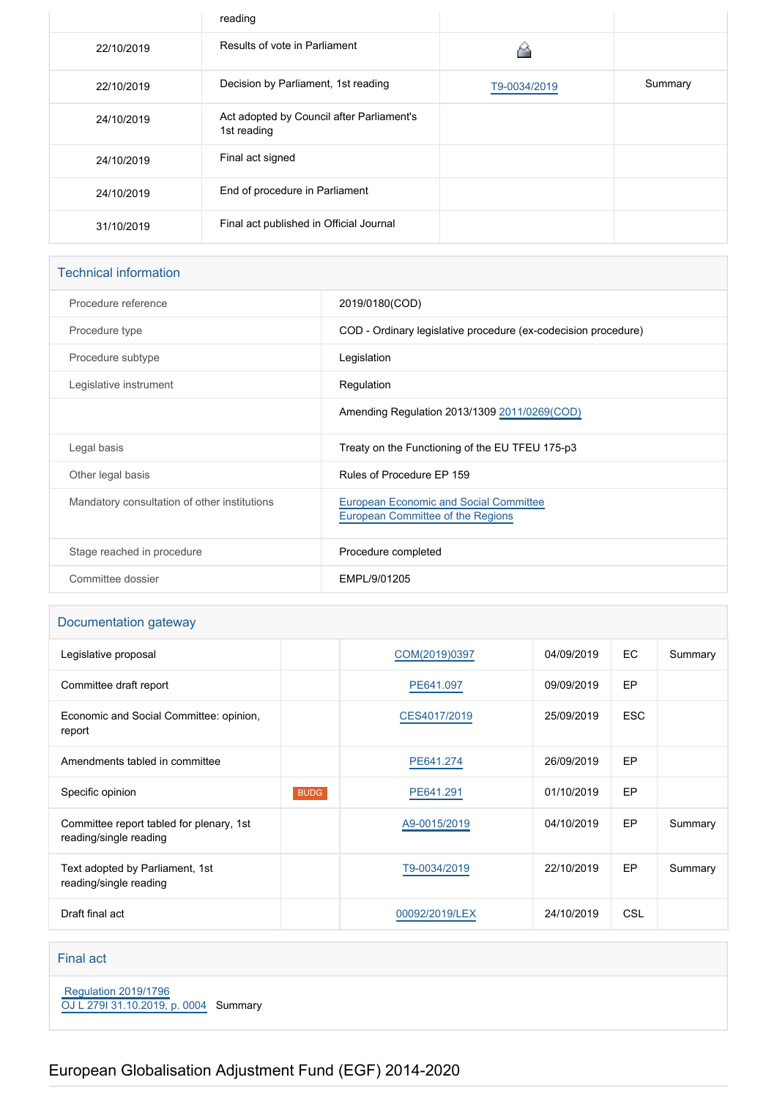|            | reading                                                  |              |         |
|------------|----------------------------------------------------------|--------------|---------|
| 22/10/2019 | Results of vote in Parliament                            |              |         |
| 22/10/2019 | Decision by Parliament, 1st reading                      | T9-0034/2019 | Summary |
| 24/10/2019 | Act adopted by Council after Parliament's<br>1st reading |              |         |
| 24/10/2019 | Final act signed                                         |              |         |
| 24/10/2019 | End of procedure in Parliament                           |              |         |
| 31/10/2019 | Final act published in Official Journal                  |              |         |

### Technical information

| Procedure reference                          | 2019/0180(COD)                                                                     |
|----------------------------------------------|------------------------------------------------------------------------------------|
| Procedure type                               | COD - Ordinary legislative procedure (ex-codecision procedure)                     |
| Procedure subtype                            | Legislation                                                                        |
| Legislative instrument                       | Regulation                                                                         |
|                                              | Amending Regulation 2013/1309 2011/0269(COD)                                       |
| Legal basis                                  | Treaty on the Functioning of the EU TFEU 175-p3                                    |
| Other legal basis                            | Rules of Procedure EP 159                                                          |
| Mandatory consultation of other institutions | <b>European Economic and Social Committee</b><br>European Committee of the Regions |
| Stage reached in procedure                   | Procedure completed                                                                |
| Committee dossier                            | EMPL/9/01205                                                                       |
|                                              |                                                                                    |

### Documentation gateway

| Legislative proposal                                               |             | COM(2019)0397  | 04/09/2019 | <b>EC</b>  | Summary |
|--------------------------------------------------------------------|-------------|----------------|------------|------------|---------|
| Committee draft report                                             |             | PE641.097      | 09/09/2019 | EP         |         |
| Economic and Social Committee: opinion,<br>report                  |             | CES4017/2019   | 25/09/2019 | <b>ESC</b> |         |
| Amendments tabled in committee                                     |             | PE641.274      | 26/09/2019 | EP         |         |
| Specific opinion                                                   | <b>BUDG</b> | PE641.291      | 01/10/2019 | EP.        |         |
| Committee report tabled for plenary, 1st<br>reading/single reading |             | A9-0015/2019   | 04/10/2019 | EP         | Summary |
| Text adopted by Parliament, 1st<br>reading/single reading          |             | T9-0034/2019   | 22/10/2019 | EP.        | Summary |
| Draft final act                                                    |             | 00092/2019/LEX | 24/10/2019 | CSL        |         |

### Final act

 [Regulation 2019/1796](https://eur-lex.europa.eu/smartapi/cgi/sga_doc?smartapi!celexplus!prod!CELEXnumdoc&lg=EN&numdoc=32019R1796) [OJ L 279I 31.10.2019, p. 0004](https://eur-lex.europa.eu/legal-content/EN/TXT/?uri=OJ:L:2019:279I:TOC) Summary

# European Globalisation Adjustment Fund (EGF) 2014-2020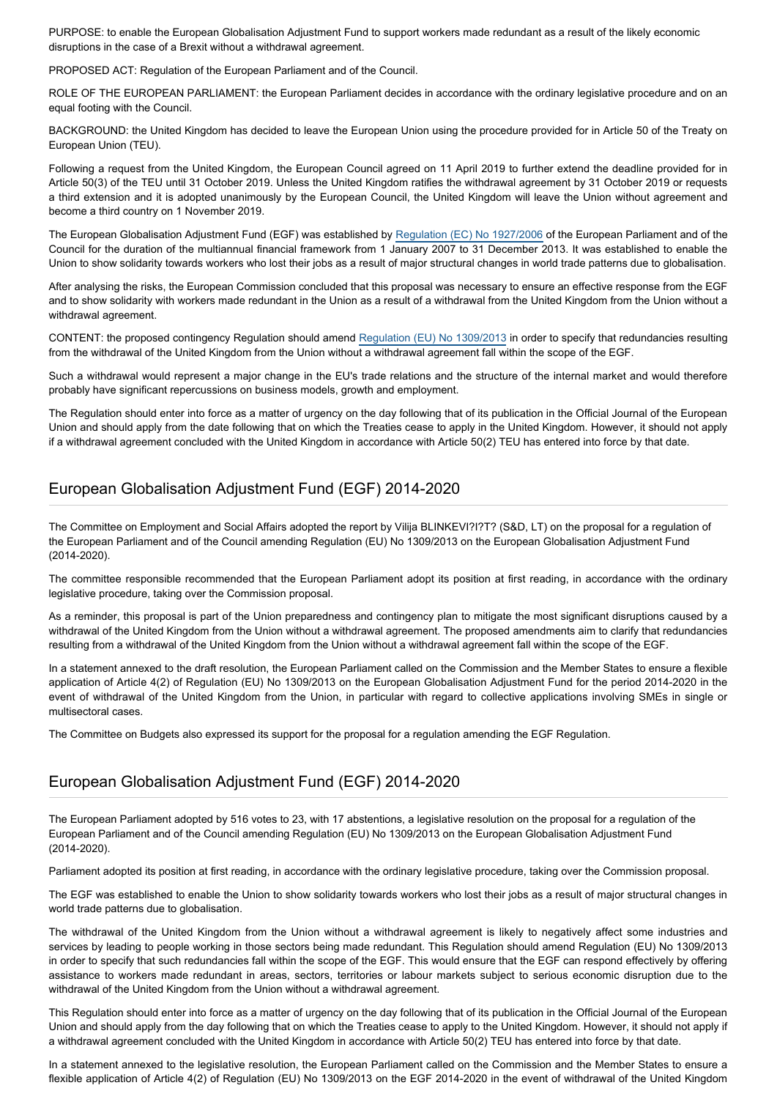PURPOSE: to enable the European Globalisation Adjustment Fund to support workers made redundant as a result of the likely economic disruptions in the case of a Brexit without a withdrawal agreement.

PROPOSED ACT: Regulation of the European Parliament and of the Council.

ROLE OF THE EUROPEAN PARLIAMENT: the European Parliament decides in accordance with the ordinary legislative procedure and on an equal footing with the Council.

BACKGROUND: the United Kingdom has decided to leave the European Union using the procedure provided for in Article 50 of the Treaty on European Union (TEU).

Following a request from the United Kingdom, the European Council agreed on 11 April 2019 to further extend the deadline provided for in Article 50(3) of the TEU until 31 October 2019. Unless the United Kingdom ratifies the withdrawal agreement by 31 October 2019 or requests a third extension and it is adopted unanimously by the European Council, the United Kingdom will leave the Union without agreement and become a third country on 1 November 2019.

The European Globalisation Adjustment Fund (EGF) was established by [Regulation \(EC\) No 1927/2006](https://oeil.secure.europarl.europa.eu/oeil/popups/ficheprocedure.do?reference=2006/0033(COD)&l=en) of the European Parliament and of the Council for the duration of the multiannual financial framework from 1 January 2007 to 31 December 2013. It was established to enable the Union to show solidarity towards workers who lost their jobs as a result of major structural changes in world trade patterns due to globalisation.

After analysing the risks, the European Commission concluded that this proposal was necessary to ensure an effective response from the EGF and to show solidarity with workers made redundant in the Union as a result of a withdrawal from the United Kingdom from the Union without a withdrawal agreement.

CONTENT: the proposed contingency Regulation should amend [Regulation \(EU\) No 1309/2013](https://oeil.secure.europarl.europa.eu/oeil/popups/ficheprocedure.do?reference=2011/0269(COD)&l=en) in order to specify that redundancies resulting from the withdrawal of the United Kingdom from the Union without a withdrawal agreement fall within the scope of the EGF.

Such a withdrawal would represent a major change in the EU's trade relations and the structure of the internal market and would therefore probably have significant repercussions on business models, growth and employment.

The Regulation should enter into force as a matter of urgency on the day following that of its publication in the Official Journal of the European Union and should apply from the date following that on which the Treaties cease to apply in the United Kingdom. However, it should not apply if a withdrawal agreement concluded with the United Kingdom in accordance with Article 50(2) TEU has entered into force by that date.

### European Globalisation Adjustment Fund (EGF) 2014-2020

The Committee on Employment and Social Affairs adopted the report by Vilija BLINKEVI?I?T? (S&D, LT) on the proposal for a regulation of the European Parliament and of the Council amending Regulation (EU) No 1309/2013 on the European Globalisation Adjustment Fund (2014-2020).

The committee responsible recommended that the European Parliament adopt its position at first reading, in accordance with the ordinary legislative procedure, taking over the Commission proposal.

As a reminder, this proposal is part of the Union preparedness and contingency plan to mitigate the most significant disruptions caused by a withdrawal of the United Kingdom from the Union without a withdrawal agreement. The proposed amendments aim to clarify that redundancies resulting from a withdrawal of the United Kingdom from the Union without a withdrawal agreement fall within the scope of the EGF.

In a statement annexed to the draft resolution, the European Parliament called on the Commission and the Member States to ensure a flexible application of Article 4(2) of Regulation (EU) No 1309/2013 on the European Globalisation Adjustment Fund for the period 2014-2020 in the event of withdrawal of the United Kingdom from the Union, in particular with regard to collective applications involving SMEs in single or multisectoral cases.

The Committee on Budgets also expressed its support for the proposal for a regulation amending the EGF Regulation.

### European Globalisation Adjustment Fund (EGF) 2014-2020

The European Parliament adopted by 516 votes to 23, with 17 abstentions, a legislative resolution on the proposal for a regulation of the European Parliament and of the Council amending Regulation (EU) No 1309/2013 on the European Globalisation Adjustment Fund (2014-2020).

Parliament adopted its position at first reading, in accordance with the ordinary legislative procedure, taking over the Commission proposal.

The EGF was established to enable the Union to show solidarity towards workers who lost their jobs as a result of major structural changes in world trade patterns due to globalisation.

The withdrawal of the United Kingdom from the Union without a withdrawal agreement is likely to negatively affect some industries and services by leading to people working in those sectors being made redundant. This Regulation should amend Regulation (EU) No 1309/2013 in order to specify that such redundancies fall within the scope of the EGF. This would ensure that the EGF can respond effectively by offering assistance to workers made redundant in areas, sectors, territories or labour markets subject to serious economic disruption due to the withdrawal of the United Kingdom from the Union without a withdrawal agreement.

This Regulation should enter into force as a matter of urgency on the day following that of its publication in the Official Journal of the European Union and should apply from the day following that on which the Treaties cease to apply to the United Kingdom. However, it should not apply if a withdrawal agreement concluded with the United Kingdom in accordance with Article 50(2) TEU has entered into force by that date.

In a statement annexed to the legislative resolution, the European Parliament called on the Commission and the Member States to ensure a flexible application of Article 4(2) of Regulation (EU) No 1309/2013 on the EGF 2014-2020 in the event of withdrawal of the United Kingdom